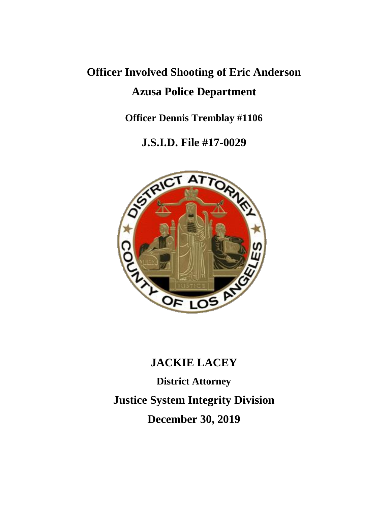# **Officer Involved Shooting of Eric Anderson Azusa Police Department**

**Officer Dennis Tremblay #1106**

**J.S.I.D. File #17-0029**



# **JACKIE LACEY**

**District Attorney Justice System Integrity Division December 30, 2019**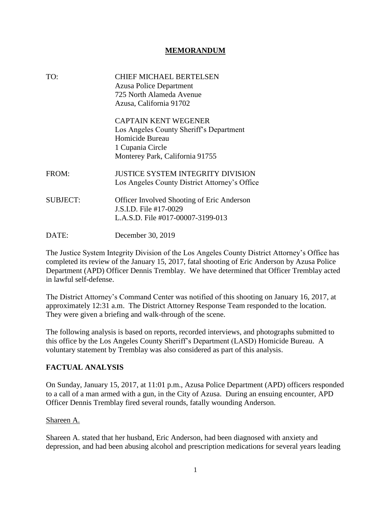#### **MEMORANDUM**

| TO:             | CHIEF MICHAEL BERTELSEN<br><b>Azusa Police Department</b><br>725 North Alameda Avenue<br>Azusa, California 91702                                 |
|-----------------|--------------------------------------------------------------------------------------------------------------------------------------------------|
|                 | <b>CAPTAIN KENT WEGENER</b><br>Los Angeles County Sheriff's Department<br>Homicide Bureau<br>1 Cupania Circle<br>Monterey Park, California 91755 |
| FROM:           | JUSTICE SYSTEM INTEGRITY DIVISION<br>Los Angeles County District Attorney's Office                                                               |
| <b>SUBJECT:</b> | Officer Involved Shooting of Eric Anderson<br>J.S.I.D. File #17-0029<br>L.A.S.D. File #017-00007-3199-013                                        |
| DATE:           | December 30, 2019                                                                                                                                |

The Justice System Integrity Division of the Los Angeles County District Attorney's Office has completed its review of the January 15, 2017, fatal shooting of Eric Anderson by Azusa Police Department (APD) Officer Dennis Tremblay. We have determined that Officer Tremblay acted in lawful self-defense.

The District Attorney's Command Center was notified of this shooting on January 16, 2017, at approximately 12:31 a.m. The District Attorney Response Team responded to the location. They were given a briefing and walk-through of the scene.

The following analysis is based on reports, recorded interviews, and photographs submitted to this office by the Los Angeles County Sheriff's Department (LASD) Homicide Bureau. A voluntary statement by Tremblay was also considered as part of this analysis.

# **FACTUAL ANALYSIS**

On Sunday, January 15, 2017, at 11:01 p.m., Azusa Police Department (APD) officers responded to a call of a man armed with a gun, in the City of Azusa. During an ensuing encounter, APD Officer Dennis Tremblay fired several rounds, fatally wounding Anderson.

#### Shareen A.

Shareen A. stated that her husband, Eric Anderson, had been diagnosed with anxiety and depression, and had been abusing alcohol and prescription medications for several years leading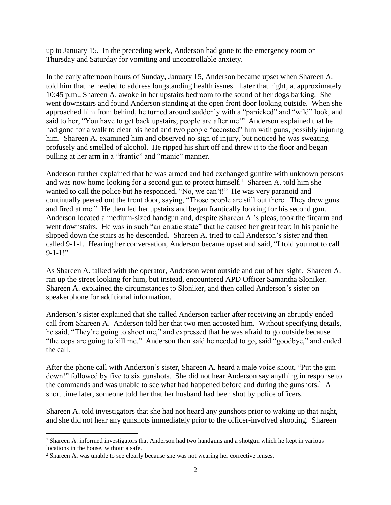up to January 15. In the preceding week, Anderson had gone to the emergency room on Thursday and Saturday for vomiting and uncontrollable anxiety.

In the early afternoon hours of Sunday, January 15, Anderson became upset when Shareen A. told him that he needed to address longstanding health issues. Later that night, at approximately 10:45 p.m., Shareen A. awoke in her upstairs bedroom to the sound of her dogs barking. She went downstairs and found Anderson standing at the open front door looking outside. When she approached him from behind, he turned around suddenly with a "panicked" and "wild" look, and said to her, "You have to get back upstairs; people are after me!" Anderson explained that he had gone for a walk to clear his head and two people "accosted" him with guns, possibly injuring him. Shareen A. examined him and observed no sign of injury, but noticed he was sweating profusely and smelled of alcohol. He ripped his shirt off and threw it to the floor and began pulling at her arm in a "frantic" and "manic" manner.

Anderson further explained that he was armed and had exchanged gunfire with unknown persons and was now home looking for a second gun to protect himself.<sup>1</sup> Shareen A. told him she wanted to call the police but he responded, "No, we can't!" He was very paranoid and continually peered out the front door, saying, "Those people are still out there. They drew guns and fired at me." He then led her upstairs and began frantically looking for his second gun. Anderson located a medium-sized handgun and, despite Shareen A.'s pleas, took the firearm and went downstairs. He was in such "an erratic state" that he caused her great fear; in his panic he slipped down the stairs as he descended. Shareen A. tried to call Anderson's sister and then called 9-1-1. Hearing her conversation, Anderson became upset and said, "I told you not to call  $9-1-1!$ "

As Shareen A. talked with the operator, Anderson went outside and out of her sight. Shareen A. ran up the street looking for him, but instead, encountered APD Officer Samantha Sloniker. Shareen A. explained the circumstances to Sloniker, and then called Anderson's sister on speakerphone for additional information.

Anderson's sister explained that she called Anderson earlier after receiving an abruptly ended call from Shareen A. Anderson told her that two men accosted him. Without specifying details, he said, "They're going to shoot me," and expressed that he was afraid to go outside because "the cops are going to kill me." Anderson then said he needed to go, said "goodbye," and ended the call.

After the phone call with Anderson's sister, Shareen A. heard a male voice shout, "Put the gun down!" followed by five to six gunshots. She did not hear Anderson say anything in response to the commands and was unable to see what had happened before and during the gunshots.<sup>2</sup> A short time later, someone told her that her husband had been shot by police officers.

Shareen A. told investigators that she had not heard any gunshots prior to waking up that night, and she did not hear any gunshots immediately prior to the officer-involved shooting. Shareen

<sup>1</sup> Shareen A. informed investigators that Anderson had two handguns and a shotgun which he kept in various locations in the house, without a safe.

<sup>2</sup> Shareen A. was unable to see clearly because she was not wearing her corrective lenses.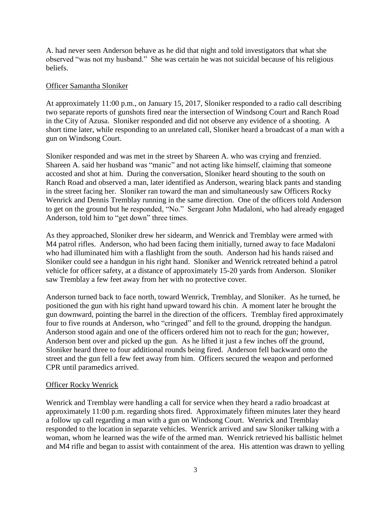A. had never seen Anderson behave as he did that night and told investigators that what she observed "was not my husband." She was certain he was not suicidal because of his religious beliefs.

#### Officer Samantha Sloniker

At approximately 11:00 p.m., on January 15, 2017, Sloniker responded to a radio call describing two separate reports of gunshots fired near the intersection of Windsong Court and Ranch Road in the City of Azusa. Sloniker responded and did not observe any evidence of a shooting. A short time later, while responding to an unrelated call, Sloniker heard a broadcast of a man with a gun on Windsong Court.

Sloniker responded and was met in the street by Shareen A. who was crying and frenzied. Shareen A. said her husband was "manic" and not acting like himself, claiming that someone accosted and shot at him. During the conversation, Sloniker heard shouting to the south on Ranch Road and observed a man, later identified as Anderson, wearing black pants and standing in the street facing her. Sloniker ran toward the man and simultaneously saw Officers Rocky Wenrick and Dennis Tremblay running in the same direction. One of the officers told Anderson to get on the ground but he responded, "No." Sergeant John Madaloni, who had already engaged Anderson, told him to "get down" three times.

As they approached, Sloniker drew her sidearm, and Wenrick and Tremblay were armed with M4 patrol rifles. Anderson, who had been facing them initially, turned away to face Madaloni who had illuminated him with a flashlight from the south. Anderson had his hands raised and Sloniker could see a handgun in his right hand. Sloniker and Wenrick retreated behind a patrol vehicle for officer safety, at a distance of approximately 15-20 yards from Anderson. Sloniker saw Tremblay a few feet away from her with no protective cover.

Anderson turned back to face north, toward Wenrick, Tremblay, and Sloniker. As he turned, he positioned the gun with his right hand upward toward his chin. A moment later he brought the gun downward, pointing the barrel in the direction of the officers. Tremblay fired approximately four to five rounds at Anderson, who "cringed" and fell to the ground, dropping the handgun. Anderson stood again and one of the officers ordered him not to reach for the gun; however, Anderson bent over and picked up the gun. As he lifted it just a few inches off the ground, Sloniker heard three to four additional rounds being fired. Anderson fell backward onto the street and the gun fell a few feet away from him. Officers secured the weapon and performed CPR until paramedics arrived.

#### Officer Rocky Wenrick

Wenrick and Tremblay were handling a call for service when they heard a radio broadcast at approximately 11:00 p.m. regarding shots fired. Approximately fifteen minutes later they heard a follow up call regarding a man with a gun on Windsong Court. Wenrick and Tremblay responded to the location in separate vehicles. Wenrick arrived and saw Sloniker talking with a woman, whom he learned was the wife of the armed man. Wenrick retrieved his ballistic helmet and M4 rifle and began to assist with containment of the area. His attention was drawn to yelling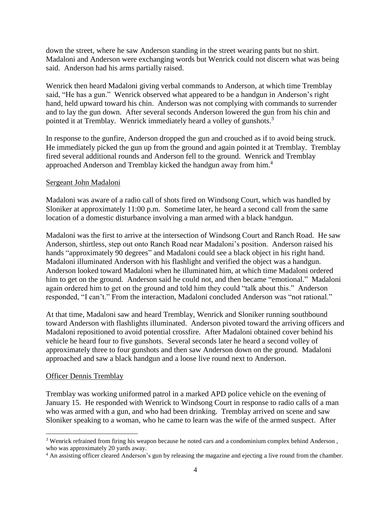down the street, where he saw Anderson standing in the street wearing pants but no shirt. Madaloni and Anderson were exchanging words but Wenrick could not discern what was being said. Anderson had his arms partially raised.

Wenrick then heard Madaloni giving verbal commands to Anderson, at which time Tremblay said, "He has a gun." Wenrick observed what appeared to be a handgun in Anderson's right hand, held upward toward his chin. Anderson was not complying with commands to surrender and to lay the gun down. After several seconds Anderson lowered the gun from his chin and pointed it at Tremblay. Wenrick immediately heard a volley of gunshots.<sup>3</sup>

In response to the gunfire, Anderson dropped the gun and crouched as if to avoid being struck. He immediately picked the gun up from the ground and again pointed it at Tremblay. Tremblay fired several additional rounds and Anderson fell to the ground. Wenrick and Tremblay approached Anderson and Tremblay kicked the handgun away from him.<sup>4</sup>

#### Sergeant John Madaloni

Madaloni was aware of a radio call of shots fired on Windsong Court, which was handled by Sloniker at approximately 11:00 p.m. Sometime later, he heard a second call from the same location of a domestic disturbance involving a man armed with a black handgun.

Madaloni was the first to arrive at the intersection of Windsong Court and Ranch Road. He saw Anderson, shirtless, step out onto Ranch Road near Madaloni's position. Anderson raised his hands "approximately 90 degrees" and Madaloni could see a black object in his right hand. Madaloni illuminated Anderson with his flashlight and verified the object was a handgun. Anderson looked toward Madaloni when he illuminated him, at which time Madaloni ordered him to get on the ground. Anderson said he could not, and then became "emotional." Madaloni again ordered him to get on the ground and told him they could "talk about this." Anderson responded, "I can't." From the interaction, Madaloni concluded Anderson was "not rational."

At that time, Madaloni saw and heard Tremblay, Wenrick and Sloniker running southbound toward Anderson with flashlights illuminated. Anderson pivoted toward the arriving officers and Madaloni repositioned to avoid potential crossfire. After Madaloni obtained cover behind his vehicle he heard four to five gunshots. Several seconds later he heard a second volley of approximately three to four gunshots and then saw Anderson down on the ground. Madaloni approached and saw a black handgun and a loose live round next to Anderson.

#### Officer Dennis Tremblay

Tremblay was working uniformed patrol in a marked APD police vehicle on the evening of January 15. He responded with Wenrick to Windsong Court in response to radio calls of a man who was armed with a gun, and who had been drinking. Tremblay arrived on scene and saw Sloniker speaking to a woman, who he came to learn was the wife of the armed suspect. After

<sup>&</sup>lt;sup>3</sup> Wenrick refrained from firing his weapon because he noted cars and a condominium complex behind Anderson, who was approximately 20 yards away.

<sup>4</sup> An assisting officer cleared Anderson's gun by releasing the magazine and ejecting a live round from the chamber.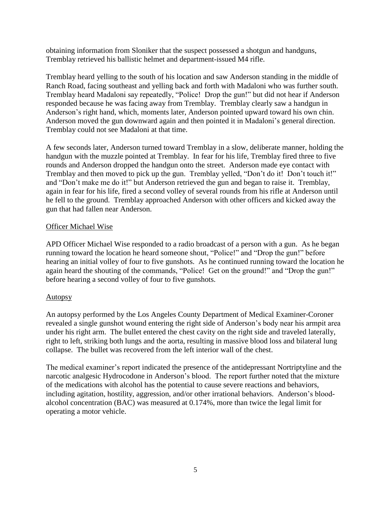obtaining information from Sloniker that the suspect possessed a shotgun and handguns, Tremblay retrieved his ballistic helmet and department-issued M4 rifle.

Tremblay heard yelling to the south of his location and saw Anderson standing in the middle of Ranch Road, facing southeast and yelling back and forth with Madaloni who was further south. Tremblay heard Madaloni say repeatedly, "Police! Drop the gun!" but did not hear if Anderson responded because he was facing away from Tremblay. Tremblay clearly saw a handgun in Anderson's right hand, which, moments later, Anderson pointed upward toward his own chin. Anderson moved the gun downward again and then pointed it in Madaloni's general direction. Tremblay could not see Madaloni at that time.

A few seconds later, Anderson turned toward Tremblay in a slow, deliberate manner, holding the handgun with the muzzle pointed at Tremblay. In fear for his life, Tremblay fired three to five rounds and Anderson dropped the handgun onto the street. Anderson made eye contact with Tremblay and then moved to pick up the gun. Tremblay yelled, "Don't do it! Don't touch it!" and "Don't make me do it!" but Anderson retrieved the gun and began to raise it. Tremblay, again in fear for his life, fired a second volley of several rounds from his rifle at Anderson until he fell to the ground. Tremblay approached Anderson with other officers and kicked away the gun that had fallen near Anderson.

#### Officer Michael Wise

APD Officer Michael Wise responded to a radio broadcast of a person with a gun. As he began running toward the location he heard someone shout, "Police!" and "Drop the gun!" before hearing an initial volley of four to five gunshots. As he continued running toward the location he again heard the shouting of the commands, "Police! Get on the ground!" and "Drop the gun!" before hearing a second volley of four to five gunshots.

# Autopsy

An autopsy performed by the Los Angeles County Department of Medical Examiner-Coroner revealed a single gunshot wound entering the right side of Anderson's body near his armpit area under his right arm. The bullet entered the chest cavity on the right side and traveled laterally, right to left, striking both lungs and the aorta, resulting in massive blood loss and bilateral lung collapse. The bullet was recovered from the left interior wall of the chest.

The medical examiner's report indicated the presence of the antidepressant Nortriptyline and the narcotic analgesic Hydrocodone in Anderson's blood. The report further noted that the mixture of the medications with alcohol has the potential to cause severe reactions and behaviors, including agitation, hostility, aggression, and/or other irrational behaviors. Anderson's bloodalcohol concentration (BAC) was measured at 0.174%, more than twice the legal limit for operating a motor vehicle.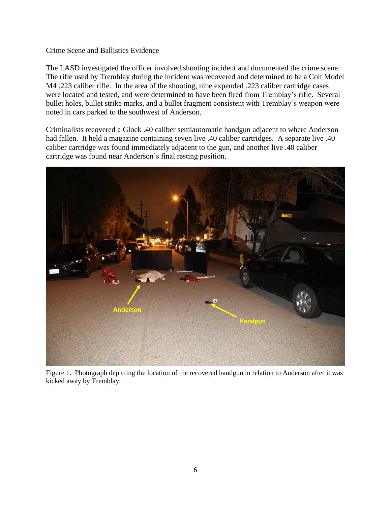#### Crime Scene and Ballistics Evidence

The LASD investigated the officer involved shooting incident and documented the crime scene. The rifle used by Tremblay during the incident was recovered and determined to be a Colt Model M4 .223 caliber rifle. In the area of the shooting, nine expended .223 caliber cartridge cases were located and tested, and were determined to have been fired from Tremblay's rifle. Several bullet holes, bullet strike marks, and a bullet fragment consistent with Tremblay's weapon were noted in cars parked to the southwest of Anderson.

Criminalists recovered a Glock .40 caliber semiautomatic handgun adjacent to where Anderson had fallen. It held a magazine containing seven live .40 caliber cartridges. A separate live .40 caliber cartridge was found immediately adjacent to the gun, and another live .40 caliber cartridge was found near Anderson's final resting position.



Figure 1. Photograph depicting the location of the recovered handgun in relation to Anderson after it was kicked away by Tremblay.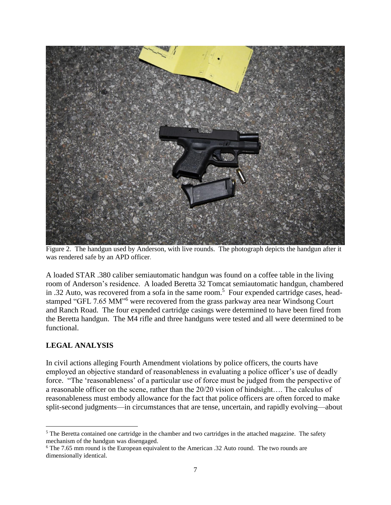

Figure 2. The handgun used by Anderson, with live rounds. The photograph depicts the handgun after it was rendered safe by an APD officer.

A loaded STAR .380 caliber semiautomatic handgun was found on a coffee table in the living room of Anderson's residence. A loaded Beretta 32 Tomcat semiautomatic handgun, chambered in .32 Auto, was recovered from a sofa in the same room.<sup>5</sup> Four expended cartridge cases, headstamped "GFL 7.65 MM"<sup>6</sup> were recovered from the grass parkway area near Windsong Court and Ranch Road. The four expended cartridge casings were determined to have been fired from the Beretta handgun. The M4 rifle and three handguns were tested and all were determined to be functional.

# **LEGAL ANALYSIS**

 $\overline{a}$ 

In civil actions alleging Fourth Amendment violations by police officers, the courts have employed an objective standard of reasonableness in evaluating a police officer's use of deadly force. "The 'reasonableness' of a particular use of force must be judged from the perspective of a reasonable officer on the scene, rather than the 20/20 vision of hindsight…. The calculus of reasonableness must embody allowance for the fact that police officers are often forced to make split-second judgments—in circumstances that are tense, uncertain, and rapidly evolving—about

<sup>&</sup>lt;sup>5</sup> The Beretta contained one cartridge in the chamber and two cartridges in the attached magazine. The safety mechanism of the handgun was disengaged.

<sup>&</sup>lt;sup>6</sup> The 7.65 mm round is the European equivalent to the American .32 Auto round. The two rounds are dimensionally identical.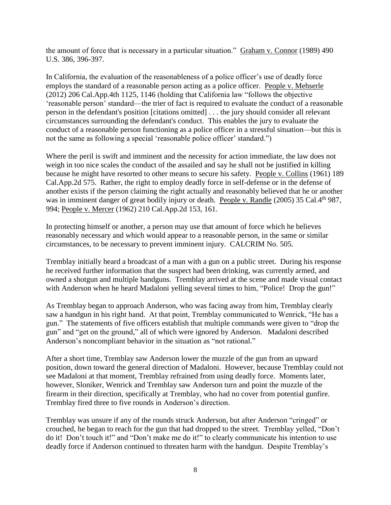the amount of force that is necessary in a particular situation." Graham v. Connor (1989) 490 U.S. 386, 396-397.

In California, the evaluation of the reasonableness of a police officer's use of deadly force employs the standard of a reasonable person acting as a police officer. [People v. Mehserle](https://advance.lexis.com/api/document/collection/cases/id/55V4-VH01-F04B-N0PT-00000-00?context=1000516) [\(2012\) 206 Cal.App.4th 1125, 1146 \(](https://advance.lexis.com/api/document/collection/cases/id/55V4-VH01-F04B-N0PT-00000-00?context=1000516)holding that California law "follows the objective 'reasonable person' standard—the trier of fact is required to evaluate the conduct of a reasonable person in the defendant's position [citations omitted] . . . the jury should consider all relevant circumstances surrounding the defendant's conduct. This enables the jury to evaluate the conduct of a reasonable person functioning as a police officer in a stressful situation—but this is not the same as following a special 'reasonable police officer' standard.")

Where the peril is swift and imminent and the necessity for action immediate, the law does not weigh in too nice scales the conduct of the assailed and say he shall not be justified in killing because he might have resorted to other means to secure his safety. People v. Collins (1961) 189 Cal.App.2d 575. Rather, the right to employ deadly force in self-defense or in the defense of another exists if the person claiming the right actually and reasonably believed that he or another was in imminent danger of great bodily injury or death. People v. Randle (2005) 35 Cal.4<sup>th</sup> 987, 994; People v. Mercer (1962) 210 Cal.App.2d 153, 161.

In protecting himself or another, a person may use that amount of force which he believes reasonably necessary and which would appear to a reasonable person, in the same or similar circumstances, to be necessary to prevent imminent injury. CALCRIM No. 505.

Tremblay initially heard a broadcast of a man with a gun on a public street. During his response he received further information that the suspect had been drinking, was currently armed, and owned a shotgun and multiple handguns. Tremblay arrived at the scene and made visual contact with Anderson when he heard Madaloni yelling several times to him, "Police! Drop the gun!"

As Tremblay began to approach Anderson, who was facing away from him, Tremblay clearly saw a handgun in his right hand. At that point, Tremblay communicated to Wenrick, "He has a gun." The statements of five officers establish that multiple commands were given to "drop the gun" and "get on the ground," all of which were ignored by Anderson. Madaloni described Anderson's noncompliant behavior in the situation as "not rational."

After a short time, Tremblay saw Anderson lower the muzzle of the gun from an upward position, down toward the general direction of Madaloni. However, because Tremblay could not see Madaloni at that moment, Tremblay refrained from using deadly force. Moments later, however, Sloniker, Wenrick and Tremblay saw Anderson turn and point the muzzle of the firearm in their direction, specifically at Tremblay, who had no cover from potential gunfire. Tremblay fired three to five rounds in Anderson's direction.

Tremblay was unsure if any of the rounds struck Anderson, but after Anderson "cringed" or crouched, he began to reach for the gun that had dropped to the street. Tremblay yelled, "Don't do it! Don't touch it!" and "Don't make me do it!" to clearly communicate his intention to use deadly force if Anderson continued to threaten harm with the handgun. Despite Tremblay's